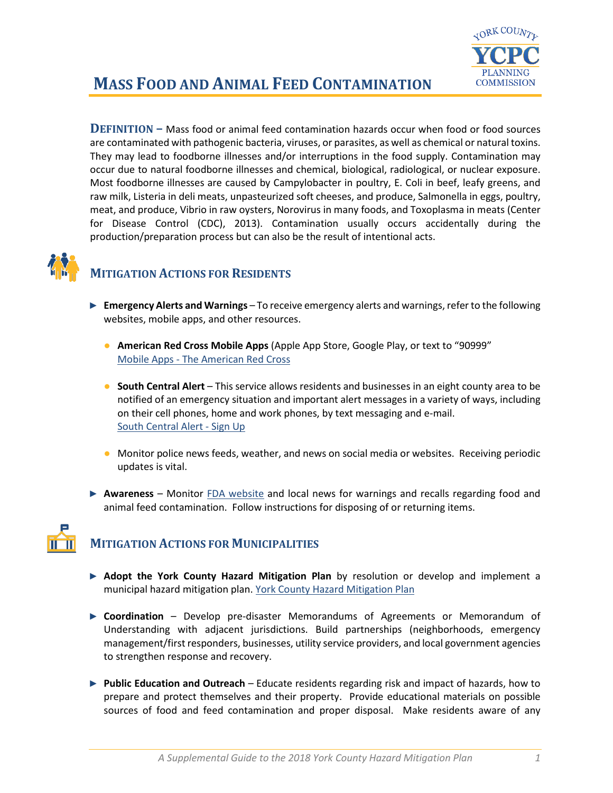

## **MASS FOOD AND ANIMAL FEED CONTAMINATION**

**DEFINITION –** Mass food or animal feed contamination hazards occur when food or food sources are contaminated with pathogenic bacteria, viruses, or parasites, as well as chemical or natural toxins. They may lead to foodborne illnesses and/or interruptions in the food supply. Contamination may occur due to natural foodborne illnesses and chemical, biological, radiological, or nuclear exposure. Most foodborne illnesses are caused by Campylobacter in poultry, E. Coli in beef, leafy greens, and raw milk, Listeria in deli meats, unpasteurized soft cheeses, and produce, Salmonella in eggs, poultry, meat, and produce, Vibrio in raw oysters, Norovirus in many foods, and Toxoplasma in meats (Center for Disease Control (CDC), 2013). Contamination usually occurs accidentally during the production/preparation process but can also be the result of intentional acts.



## **MITIGATION ACTIONS FOR RESIDENTS**

- ► **Emergency Alerts and Warnings** To receive emergency alerts and warnings, refer to the following websites, mobile apps, and other resources.
	- **American Red Cross Mobile Apps** (Apple App Store, Google Play, or text to "90999" Mobile Apps - [The American Red Cross](https://www.redcross.org/get-help/how-to-prepare-for-emergencies/mobile-apps.html)
	- **South Central Alert** This service allows residents and businesses in an eight county area to be notified of an emergency situation and important alert messages in a variety of ways, including on their cell phones, home and work phones, by text messaging and e-mail. [South Central Alert -](https://www.sctfpa.org/sc-alert.php) Sign Up
	- Monitor police news feeds, weather, and news on social media or websites. Receiving periodic updates is vital.
- ► **Awareness** Monitor [FDA website](https://www.fda.gov/safety/recalls/) and local news for warnings and recalls regarding food and animal feed contamination. Follow instructions for disposing of or returning items.



## **MITIGATION ACTIONS FOR MUNICIPALITIES**

- ► **Adopt the York County Hazard Mitigation Plan** by resolution or develop and implement a municipal hazard mitigation plan. [York County Hazard Mitigation Plan](http://ycpc.org/DocumentCenter/View/290/Hazard-Mitigation-Plan-PDF)
- ► **Coordination** Develop pre-disaster Memorandums of Agreements or Memorandum of Understanding with adjacent jurisdictions. Build partnerships (neighborhoods, emergency management/first responders, businesses, utility service providers, and local government agencies to strengthen response and recovery.
- ► **Public Education and Outreach** Educate residents regarding risk and impact of hazards, how to prepare and protect themselves and their property. Provide educational materials on possible sources of food and feed contamination and proper disposal. Make residents aware of any